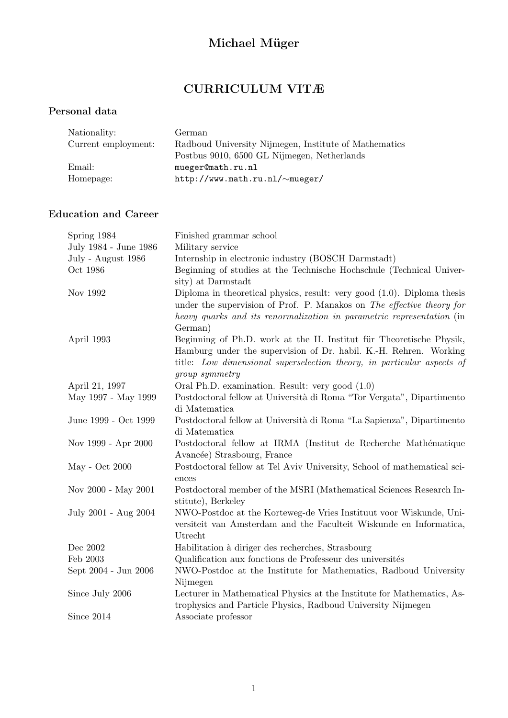# Michael Müger

## CURRICULUM VITÆ

### Personal data

| Nationality:        | German                                                |
|---------------------|-------------------------------------------------------|
| Current employment: | Radboud University Nijmegen, Institute of Mathematics |
|                     | Postbus 9010, 6500 GL Nijmegen, Netherlands           |
| Email:              | mueger@math.ru.nl                                     |
| Homepage:           | http://www.math.ru.nl/~mueger/                        |

### Education and Career

| Spring 1984           | Finished grammar school                                                    |
|-----------------------|----------------------------------------------------------------------------|
| July 1984 - June 1986 | Military service                                                           |
| July - August 1986    | Internship in electronic industry (BOSCH Darmstadt)                        |
| Oct 1986              | Beginning of studies at the Technische Hochschule (Technical Univer-       |
|                       | sity) at Darmstadt                                                         |
| Nov 1992              | Diploma in theoretical physics, result: very good $(1.0)$ . Diploma thesis |
|                       | under the supervision of Prof. P. Manakos on The effective theory for      |
|                       | heavy quarks and its renormalization in parametric representation (in      |
|                       | German)                                                                    |
| April 1993            | Beginning of Ph.D. work at the II. Institut für Theoretische Physik,       |
|                       | Hamburg under the supervision of Dr. habil. K.-H. Rehren. Working          |
|                       | title: Low dimensional superselection theory, in particular aspects of     |
|                       | group symmetry                                                             |
| April 21, 1997        | Oral Ph.D. examination. Result: very good (1.0)                            |
| May 1997 - May 1999   | Postdoctoral fellow at Università di Roma "Tor Vergata", Dipartimento      |
|                       | di Matematica                                                              |
| June 1999 - Oct 1999  | Postdoctoral fellow at Università di Roma "La Sapienza", Dipartimento      |
|                       | di Matematica                                                              |
| Nov 1999 - Apr 2000   | Postdoctoral fellow at IRMA (Institut de Recherche Mathématique            |
|                       | Avancée) Strasbourg, France                                                |
| May - Oct 2000        | Postdoctoral fellow at Tel Aviv University, School of mathematical sci-    |
|                       | ences                                                                      |
| Nov 2000 - May 2001   | Postdoctoral member of the MSRI (Mathematical Sciences Research In-        |
|                       | stitute), Berkeley                                                         |
| July 2001 - Aug 2004  | NWO-Postdoc at the Korteweg-de Vries Instituut voor Wiskunde, Uni-         |
|                       | versiteit van Amsterdam and the Faculteit Wiskunde en Informatica,         |
|                       | Utrecht                                                                    |
| Dec 2002              | Habilitation à diriger des recherches, Strasbourg                          |
| Feb 2003              | Qualification aux fonctions de Professeur des universités                  |
| Sept 2004 - Jun 2006  | NWO-Postdoc at the Institute for Mathematics, Radboud University           |
|                       | Nijmegen                                                                   |
| Since July 2006       | Lecturer in Mathematical Physics at the Institute for Mathematics, As-     |
|                       | trophysics and Particle Physics, Radboud University Nijmegen               |
| Since 2014            | Associate professor                                                        |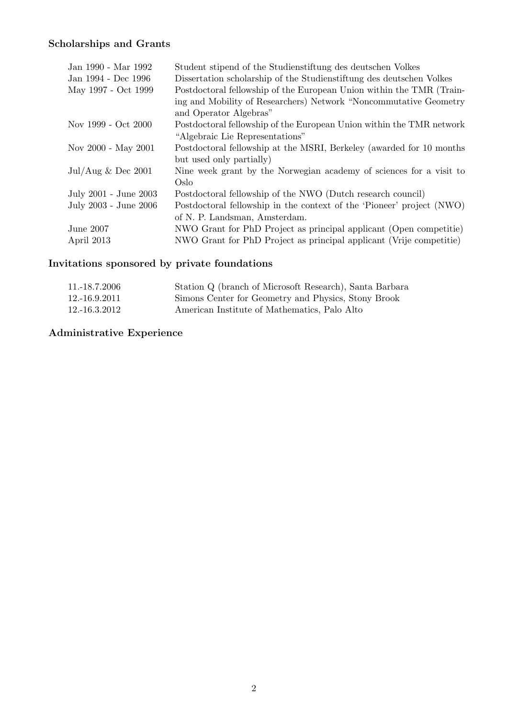### Scholarships and Grants

| Jan 1990 - Mar 1992                  | Student stipend of the Studienstiftung des deutschen Volkes           |
|--------------------------------------|-----------------------------------------------------------------------|
| Jan 1994 - Dec 1996                  | Dissertation scholarship of the Studienstiftung des deutschen Volkes  |
| May 1997 - Oct 1999                  | Postdoctoral fellowship of the European Union within the TMR (Train-  |
|                                      | ing and Mobility of Researchers) Network "Noncommutative Geometry     |
|                                      | and Operator Algebras"                                                |
| Nov 1999 - Oct 2000                  | Postdoctoral fellowship of the European Union within the TMR network  |
|                                      | "Algebraic Lie Representations"                                       |
| Nov 2000 - May 2001                  | Postdoctoral fellowship at the MSRI, Berkeley (awarded for 10 months) |
|                                      | but used only partially)                                              |
| $\text{Jul/Aug} \& \text{Dec } 2001$ | Nine week grant by the Norwegian academy of sciences for a visit to   |
|                                      | Oslo                                                                  |
| July 2001 - June 2003                | Postdoctoral fellowship of the NWO (Dutch research council)           |
| July 2003 - June 2006                | Postdoctoral fellowship in the context of the 'Pioneer' project (NWO) |
|                                      | of N. P. Landsman, Amsterdam.                                         |
| June 2007                            | NWO Grant for PhD Project as principal applicant (Open competitie)    |
| April 2013                           | NWO Grant for PhD Project as principal applicant (Vrije competitie)   |

## Invitations sponsored by private foundations

| 11.-18.7.2006 | Station Q (branch of Microsoft Research), Santa Barbara |
|---------------|---------------------------------------------------------|
| 12.-16.9.2011 | Simons Center for Geometry and Physics, Stony Brook     |
| 12.-16.3.2012 | American Institute of Mathematics, Palo Alto            |

## Administrative Experience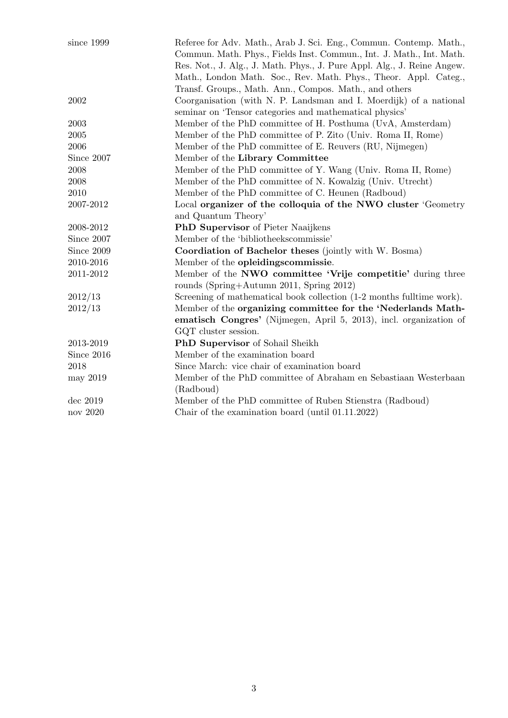| since 1999 | Referee for Adv. Math., Arab J. Sci. Eng., Commun. Contemp. Math.,      |  |
|------------|-------------------------------------------------------------------------|--|
|            | Commun. Math. Phys., Fields Inst. Commun., Int. J. Math., Int. Math.    |  |
|            | Res. Not., J. Alg., J. Math. Phys., J. Pure Appl. Alg., J. Reine Angew. |  |
|            | Math., London Math. Soc., Rev. Math. Phys., Theor. Appl. Categ.,        |  |
|            | Transf. Groups., Math. Ann., Compos. Math., and others                  |  |
| 2002       | Coorganisation (with N. P. Landsman and I. Moerdijk) of a national      |  |
|            | seminar on 'Tensor categories and mathematical physics'                 |  |
| 2003       | Member of the PhD committee of H. Posthuma (UvA, Amsterdam)             |  |
| 2005       | Member of the PhD committee of P. Zito (Univ. Roma II, Rome)            |  |
| 2006       | Member of the PhD committee of E. Reuvers (RU, Nijmegen)                |  |
| Since 2007 | Member of the Library Committee                                         |  |
| 2008       | Member of the PhD committee of Y. Wang (Univ. Roma II, Rome)            |  |
| 2008       | Member of the PhD committee of N. Kowalzig (Univ. Utrecht)              |  |
| 2010       | Member of the PhD committee of C. Heunen (Radboud)                      |  |
| 2007-2012  | Local organizer of the colloquia of the NWO cluster 'Geometry           |  |
|            | and Quantum Theory'                                                     |  |
| 2008-2012  | PhD Supervisor of Pieter Naaijkens                                      |  |
| Since 2007 | Member of the 'bibliotheeks commissie'                                  |  |
| Since 2009 | Coordiation of Bachelor theses (jointly with W. Bosma)                  |  |
| 2010-2016  | Member of the opleidings commissie.                                     |  |
| 2011-2012  | Member of the NWO committee 'Vrije competitie' during three             |  |
|            | rounds (Spring+Autumn 2011, Spring 2012)                                |  |
| 2012/13    | Screening of mathematical book collection (1-2 months fulltime work).   |  |
| 2012/13    | Member of the organizing committee for the 'Nederlands Math-            |  |
|            | ematisch Congres' (Nijmegen, April 5, 2013), incl. organization of      |  |
|            | GQT cluster session.                                                    |  |
| 2013-2019  | PhD Supervisor of Sohail Sheikh                                         |  |
| Since 2016 | Member of the examination board                                         |  |
| 2018       | Since March: vice chair of examination board                            |  |
| may 2019   | Member of the PhD committee of Abraham en Sebastiaan Westerbaan         |  |
|            | (Radboud)                                                               |  |
| dec 2019   | Member of the PhD committee of Ruben Stienstra (Radboud)                |  |
| nov 2020   | Chair of the examination board (until $01.11.2022$ )                    |  |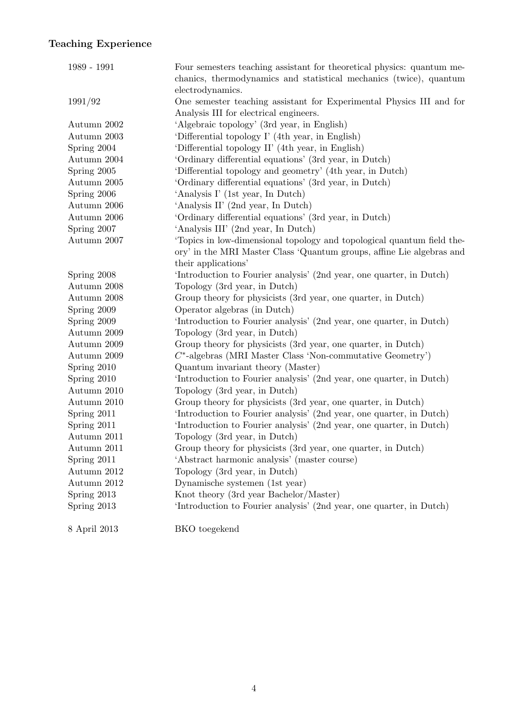## Teaching Experience

| 1989 - 1991  | Four semesters teaching assistant for theoretical physics: quantum me-<br>chanics, thermodynamics and statistical mechanics (twice), quantum |
|--------------|----------------------------------------------------------------------------------------------------------------------------------------------|
|              | electrodynamics.                                                                                                                             |
| 1991/92      | One semester teaching assistant for Experimental Physics III and for                                                                         |
|              | Analysis III for electrical engineers.                                                                                                       |
| Autumn 2002  | 'Algebraic topology' (3rd year, in English)                                                                                                  |
| Autumn 2003  | 'Differential topology I' (4th year, in English)                                                                                             |
| Spring 2004  | 'Differential topology II' (4th year, in English)                                                                                            |
| Autumn 2004  | 'Ordinary differential equations' (3rd year, in Dutch)                                                                                       |
| Spring 2005  | 'Differential topology and geometry' (4th year, in Dutch)                                                                                    |
| Autumn 2005  | 'Ordinary differential equations' (3rd year, in Dutch)                                                                                       |
| Spring 2006  | 'Analysis I' (1st year, In Dutch)                                                                                                            |
| Autumn 2006  | 'Analysis II' (2nd year, In Dutch)                                                                                                           |
| Autumn 2006  | 'Ordinary differential equations' (3rd year, in Dutch)                                                                                       |
| Spring 2007  | 'Analysis III' (2nd year, In Dutch)                                                                                                          |
| Autumn 2007  | 'Topics in low-dimensional topology and topological quantum field the-                                                                       |
|              | ory' in the MRI Master Class 'Quantum groups, affine Lie algebras and                                                                        |
|              | their applications'                                                                                                                          |
| Spring 2008  | 'Introduction to Fourier analysis' (2nd year, one quarter, in Dutch)                                                                         |
| Autumn 2008  | Topology (3rd year, in Dutch)                                                                                                                |
| Autumn 2008  | Group theory for physicists (3rd year, one quarter, in Dutch)                                                                                |
| Spring 2009  | Operator algebras (in Dutch)                                                                                                                 |
| Spring 2009  | 'Introduction to Fourier analysis' (2nd year, one quarter, in Dutch)                                                                         |
| Autumn 2009  | Topology (3rd year, in Dutch)                                                                                                                |
| Autumn 2009  | Group theory for physicists (3rd year, one quarter, in Dutch)                                                                                |
| Autumn 2009  | $C^*$ -algebras (MRI Master Class 'Non-commutative Geometry')                                                                                |
| Spring 2010  | Quantum invariant theory (Master)                                                                                                            |
| Spring 2010  | 'Introduction to Fourier analysis' (2nd year, one quarter, in Dutch)                                                                         |
| Autumn 2010  | Topology (3rd year, in Dutch)                                                                                                                |
| Autumn 2010  | Group theory for physicists (3rd year, one quarter, in Dutch)                                                                                |
| Spring 2011  | 'Introduction to Fourier analysis' (2nd year, one quarter, in Dutch)                                                                         |
| Spring 2011  | 'Introduction to Fourier analysis' (2nd year, one quarter, in Dutch)                                                                         |
| Autumn 2011  | Topology (3rd year, in Dutch)                                                                                                                |
| Autumn 2011  | Group theory for physicists (3rd year, one quarter, in Dutch)                                                                                |
| Spring 2011  | 'Abstract harmonic analysis' (master course)                                                                                                 |
| Autumn 2012  | Topology (3rd year, in Dutch)                                                                                                                |
| Autumn 2012  | Dynamische systemen (1st year)                                                                                                               |
| Spring 2013  | Knot theory (3rd year Bachelor/Master)                                                                                                       |
| Spring 2013  | 'Introduction to Fourier analysis' (2nd year, one quarter, in Dutch)                                                                         |
| 8 April 2013 | BKO toegekend                                                                                                                                |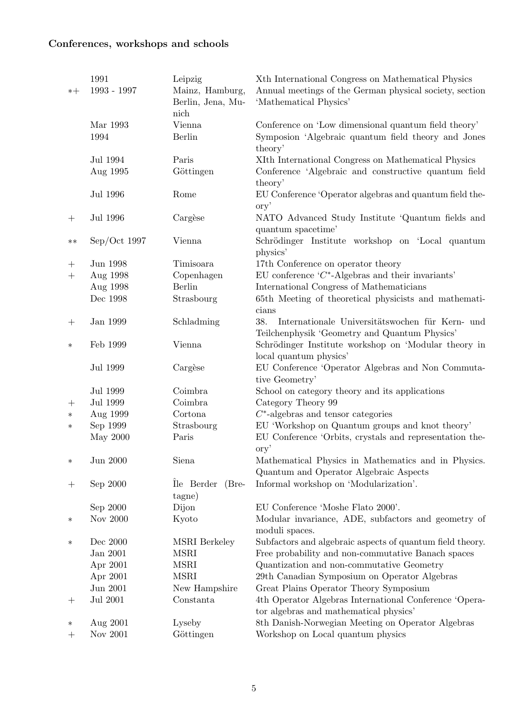## Conferences, workshops and schools

|                                   | 1991             | Leipzig                              | Xth International Congress on Mathematical Physics                                                      |
|-----------------------------------|------------------|--------------------------------------|---------------------------------------------------------------------------------------------------------|
| $*+$                              | 1993 - 1997      | Mainz, Hamburg,<br>Berlin, Jena, Mu- | Annual meetings of the German physical society, section<br>'Mathematical Physics'                       |
|                                   |                  | nich                                 |                                                                                                         |
|                                   | Mar 1993<br>1994 | Vienna<br>Berlin                     | Conference on 'Low dimensional quantum field theory'                                                    |
|                                   |                  |                                      | Symposion 'Algebraic quantum field theory and Jones<br>theory'                                          |
|                                   | Jul 1994         | Paris                                | XIth International Congress on Mathematical Physics                                                     |
|                                   | Aug 1995         | Göttingen                            | Conference 'Algebraic and constructive quantum field                                                    |
|                                   |                  |                                      | theory'                                                                                                 |
|                                   | Jul 1996         | Rome                                 | EU Conference 'Operator algebras and quantum field the-<br>ory'                                         |
| $^{+}$                            | Jul 1996         | Cargèse                              | NATO Advanced Study Institute 'Quantum fields and                                                       |
|                                   |                  |                                      | quantum spacetime'                                                                                      |
| $***$                             | Sep/Oct 1997     | Vienna                               | Schrödinger Institute workshop on 'Local quantum                                                        |
|                                   |                  |                                      | physics'                                                                                                |
|                                   | Jun 1998         | Timisoara                            | 17th Conference on operator theory                                                                      |
| $\boldsymbol{+}$                  | Aug 1998         | Copenhagen                           | EU conference $C^*$ -Algebras and their invariants'                                                     |
|                                   | Aug 1998         | <b>Berlin</b>                        | International Congress of Mathematicians                                                                |
|                                   | Dec 1998         | Strasbourg                           | 65th Meeting of theoretical physicists and mathemati-                                                   |
|                                   |                  |                                      | cians                                                                                                   |
| $\hspace{0.1mm} + \hspace{0.1mm}$ | Jan 1999         | Schladming                           | 38.<br>Internationale Universitätswochen für Kern- und<br>Teilchenphysik 'Geometry and Quantum Physics' |
| $\ast$                            | Feb 1999         | Vienna                               | Schrödinger Institute workshop on 'Modular theory in                                                    |
|                                   |                  |                                      | local quantum physics'                                                                                  |
|                                   | Jul 1999         | Cargèse                              | EU Conference 'Operator Algebras and Non Commuta-                                                       |
|                                   |                  |                                      | tive Geometry'                                                                                          |
|                                   | Jul 1999         | Coimbra                              | School on category theory and its applications                                                          |
| $^{+}$                            | Jul 1999         | Coimbra                              | Category Theory 99                                                                                      |
| $\ast$                            | Aug 1999         | Cortona                              | $C^*$ -algebras and tensor categories                                                                   |
| $\ast$                            | Sep 1999         | Strasbourg                           | EU 'Workshop on Quantum groups and knot theory'                                                         |
|                                   | May 2000         | Paris                                | EU Conference 'Orbits, crystals and representation the-<br>ory'                                         |
| $\ast$                            | Jun 2000         | Siena                                | Mathematical Physics in Mathematics and in Physics.                                                     |
|                                   |                  |                                      | Quantum and Operator Algebraic Aspects                                                                  |
| $^{+}$                            | Sep 2000         | Ile Berder<br>$(Bre-$                | Informal workshop on 'Modularization'.                                                                  |
|                                   |                  | tagne)                               |                                                                                                         |
|                                   | Sep 2000         | Dijon                                | EU Conference 'Moshe Flato 2000'.                                                                       |
| $\ast$                            | Nov 2000         | Kyoto                                | Modular invariance, ADE, subfactors and geometry of<br>moduli spaces.                                   |
| $\ast$                            | Dec 2000         | <b>MSRI</b> Berkeley                 | Subfactors and algebraic aspects of quantum field theory.                                               |
|                                   | Jan 2001         | <b>MSRI</b>                          | Free probability and non-commutative Banach spaces                                                      |
|                                   | Apr 2001         | <b>MSRI</b>                          | Quantization and non-commutative Geometry                                                               |
|                                   | Apr 2001         | <b>MSRI</b>                          | 29th Canadian Symposium on Operator Algebras                                                            |
|                                   | Jun 2001         | New Hampshire                        | Great Plains Operator Theory Symposium                                                                  |
| $^{+}$                            | Jul 2001         | Constanta                            | 4th Operator Algebras International Conference 'Opera-                                                  |
|                                   |                  |                                      | tor algebras and mathematical physics'                                                                  |
| $\ast$                            | Aug 2001         | Lyseby                               | 8th Danish-Norwegian Meeting on Operator Algebras                                                       |
| $^{+}$                            | Nov 2001         | Göttingen                            | Workshop on Local quantum physics                                                                       |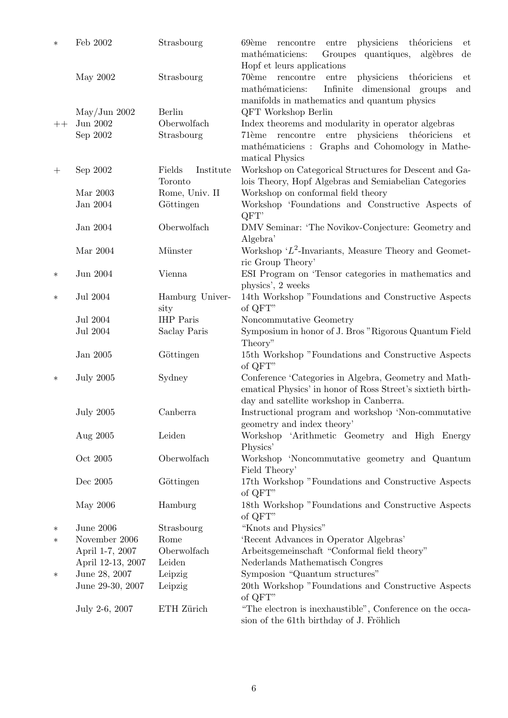| $\ast$ | Feb 2002               | Strasbourg          | physiciens théoriciens<br>69ème<br>rencontre<br>entre<br>et<br>Groupes quantiques,<br>mathématiciens:<br>algèbres<br>$\mathrm{d}\mathrm{e}$ |
|--------|------------------------|---------------------|---------------------------------------------------------------------------------------------------------------------------------------------|
|        |                        |                     | Hopf et leurs applications                                                                                                                  |
|        | May 2002               | Strasbourg          | physiciens<br>70ème<br>$\sf{rencentre}$<br>${\rm entre}$<br>théoriciens<br>et                                                               |
|        |                        |                     | Infinite dimensional groups<br>mathématiciens:<br>and                                                                                       |
|        |                        |                     | manifolds in mathematics and quantum physics                                                                                                |
|        | $\text{May/Jun } 2002$ | <b>Berlin</b>       | QFT Workshop Berlin                                                                                                                         |
| $++$   | Jun 2002               | Oberwolfach         | Index theorems and modularity in operator algebras                                                                                          |
|        | Sep 2002               | Strasbourg          | physiciens<br>entre<br>théoriciens<br>71ème<br>rencontre<br>et                                                                              |
|        |                        |                     | mathématiciens : Graphs and Cohomology in Mathe-                                                                                            |
|        |                        |                     | matical Physics                                                                                                                             |
| $^{+}$ | Sep 2002               | Fields<br>Institute | Workshop on Categorical Structures for Descent and Ga-                                                                                      |
|        | Mar 2003               | Toronto             | lois Theory, Hopf Algebras and Semiabelian Categories                                                                                       |
|        | Jan 2004               | Rome, Univ. II      | Workshop on conformal field theory                                                                                                          |
|        |                        | Göttingen           | Workshop 'Foundations and Constructive Aspects of<br>QFT'                                                                                   |
|        | Jan 2004               | Oberwolfach         | DMV Seminar: 'The Novikov-Conjecture: Geometry and                                                                                          |
|        |                        |                     | Algebra'                                                                                                                                    |
|        | Mar 2004               | Münster             | Workshop ' $L^2$ -Invariants, Measure Theory and Geomet-                                                                                    |
|        |                        |                     | ric Group Theory'                                                                                                                           |
| $\ast$ | Jun 2004               | Vienna              | ESI Program on 'Tensor categories in mathematics and                                                                                        |
|        |                        |                     | physics', 2 weeks                                                                                                                           |
| $\ast$ | Jul 2004               | Hamburg Univer-     | 14th Workshop "Foundations and Constructive Aspects                                                                                         |
|        |                        | sity                | of QFT"                                                                                                                                     |
|        | Jul 2004               | <b>IHP</b> Paris    | Noncommutative Geometry                                                                                                                     |
|        | Jul 2004               | Saclay Paris        | Symposium in honor of J. Bros "Rigorous Quantum Field                                                                                       |
|        |                        |                     | Theory"                                                                                                                                     |
|        | Jan 2005               | Göttingen           | 15th Workshop "Foundations and Constructive Aspects                                                                                         |
|        |                        |                     | of QFT"                                                                                                                                     |
| $\ast$ | <b>July 2005</b>       | Sydney              | Conference 'Categories in Algebra, Geometry and Math-                                                                                       |
|        |                        |                     | ematical Physics' in honor of Ross Street's sixtieth birth-                                                                                 |
|        |                        |                     | day and satellite workshop in Canberra.                                                                                                     |
|        | <b>July 2005</b>       | Canberra            | Instructional program and workshop 'Non-commutative                                                                                         |
|        |                        |                     | geometry and index theory'                                                                                                                  |
|        | Aug 2005               | Leiden              | Workshop 'Arithmetic Geometry and High Energy                                                                                               |
|        |                        |                     | Physics'                                                                                                                                    |
|        | Oct 2005               | Oberwolfach         | Workshop 'Noncommutative geometry and Quantum<br>Field Theory'                                                                              |
|        | Dec $2005\,$           | Göttingen           | 17th Workshop "Foundations and Constructive Aspects                                                                                         |
|        |                        |                     | of QFT"                                                                                                                                     |
|        | May 2006               | Hamburg             | 18th Workshop "Foundations and Constructive Aspects                                                                                         |
|        |                        |                     | of QFT"                                                                                                                                     |
| ∗      | <b>June 2006</b>       | Strasbourg          | "Knots and Physics"                                                                                                                         |
| $\ast$ | November 2006          | Rome                | 'Recent Advances in Operator Algebras'                                                                                                      |
|        | April 1-7, 2007        | Oberwolfach         | Arbeitsgemeinschaft "Conformal field theory"                                                                                                |
|        | April 12-13, 2007      | Leiden              | Nederlands Mathematisch Congres                                                                                                             |
| $\ast$ | June 28, 2007          | Leipzig             | Symposion "Quantum structures"                                                                                                              |
|        | June 29-30, 2007       | Leipzig             | 20th Workshop "Foundations and Constructive Aspects                                                                                         |
|        |                        |                     | of QFT"                                                                                                                                     |
|        | July 2-6, 2007         | ETH Zürich          | "The electron is inexhaustible", Conference on the occa-                                                                                    |
|        |                        |                     | sion of the 61th birthday of J. Fröhlich                                                                                                    |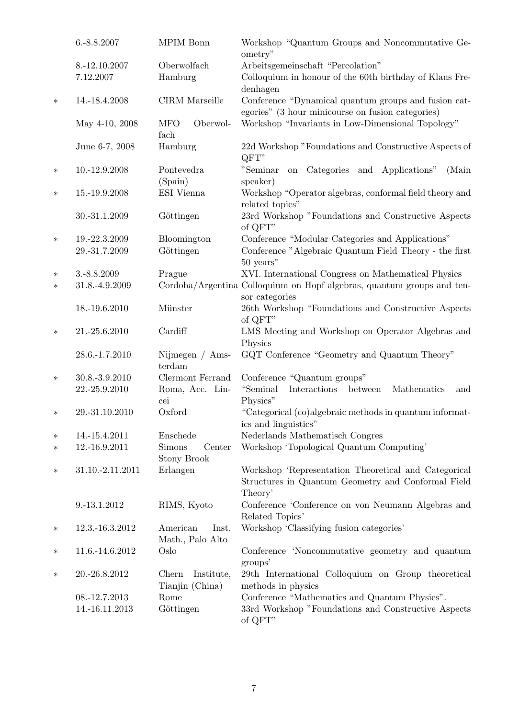|        | 6.-8.8.2007                | MPIM Bonn                                     | Workshop "Quantum Groups and Noncommutative Ge-<br>ometry"                                                            |
|--------|----------------------------|-----------------------------------------------|-----------------------------------------------------------------------------------------------------------------------|
|        | 8.-12.10.2007<br>7.12.2007 | Oberwolfach<br>Hamburg                        | Arbeitsgemeinschaft "Percolation"<br>Colloquium in honour of the 60th birthday of Klaus Fre-<br>denhagen              |
| $\ast$ | 14.-18.4.2008              | <b>CIRM</b> Marseille                         | Conference "Dynamical quantum groups and fusion cat-<br>egories" (3 hour minicourse on fusion categories)             |
|        | May 4-10, 2008             | <b>MFO</b><br>Oberwol-<br>fach                | Workshop "Invariants in Low-Dimensional Topology"                                                                     |
|        | June 6-7, 2008             | Hamburg                                       | 22d Workshop "Foundations and Constructive Aspects of<br>QFT"                                                         |
| $\ast$ | 10.-12.9.2008              | Pontevedra<br>(Spain)                         | "Seminar<br>Categories and<br>Applications"<br>(Main<br>on<br>speaker)                                                |
| $\ast$ | 15.-19.9.2008              | ESI Vienna                                    | Workshop "Operator algebras, conformal field theory and<br>related topics"                                            |
|        | 30.-31.1.2009              | Göttingen                                     | 23rd Workshop "Foundations and Constructive Aspects<br>of QFT"                                                        |
| $\ast$ | 19.-22.3.2009              | Bloomington                                   | Conference "Modular Categories and Applications"                                                                      |
|        | 29.-31.7.2009              | Göttingen                                     | Conference "Algebraic Quantum Field Theory - the first<br>50 years"                                                   |
| $\ast$ | 3.-8.8.2009                | Prague                                        | XVI. International Congress on Mathematical Physics                                                                   |
| $\ast$ | 31.8.-4.9.2009             |                                               | Cordoba/Argentina Colloquium on Hopf algebras, quantum groups and ten-<br>sor categories                              |
|        | 18.-19.6.2010              | Münster                                       | 26th Workshop "Foundations and Constructive Aspects<br>of QFT"                                                        |
| $\ast$ | 21.-25.6.2010              | Cardiff                                       | LMS Meeting and Workshop on Operator Algebras and<br>Physics                                                          |
|        | 28.6.-1.7.2010             | Nijmegen $/$ Ams-<br>terdam                   | GQT Conference "Geometry and Quantum Theory"                                                                          |
| $\ast$ | 30.8.-3.9.2010             | Clermont Ferrand                              | Conference "Quantum groups"                                                                                           |
|        | 22.-25.9.2010              | Roma, Acc. Lin-<br>cei                        | "Seminal<br>Interactions<br>between<br>Mathematics<br>and<br>Physics"                                                 |
| $\ast$ | 29.-31.10.2010             | Oxford                                        | "Categorical (co)algebraic methods in quantum informat-<br>ics and linguistics"                                       |
| $\ast$ | 14.-15.4.2011              | Enschede                                      | Nederlands Mathematisch Congres                                                                                       |
| $\ast$ | 12.-16.9.2011              | <b>Simons</b><br>Center<br><b>Stony Brook</b> | Workshop 'Topological Quantum Computing'                                                                              |
| $\ast$ | 31.10.-2.11.2011           | Erlangen                                      | Workshop 'Representation Theoretical and Categorical<br>Structures in Quantum Geometry and Conformal Field<br>Theory' |
|        | 9.-13.1.2012               | RIMS, Kyoto                                   | Conference 'Conference on von Neumann Algebras and<br>Related Topics'                                                 |
| $\ast$ | 12.3.-16.3.2012            | American<br>Inst.<br>Math., Palo Alto         | Workshop 'Classifying fusion categories'                                                                              |
| ∗      | 11.6.-14.6.2012            | Oslo                                          | Conference 'Noncommutative geometry and quantum<br>groups'                                                            |
| $\ast$ | 20.-26.8.2012              | Institute,<br>Chern<br>Tianjin (China)        | 29th International Colloquium on Group theoretical<br>methods in physics                                              |
|        | 08.-12.7.2013              | Rome                                          | Conference "Mathematics and Quantum Physics".                                                                         |
|        | 14.-16.11.2013             | Göttingen                                     | 33rd Workshop "Foundations and Constructive Aspects<br>of QFT"                                                        |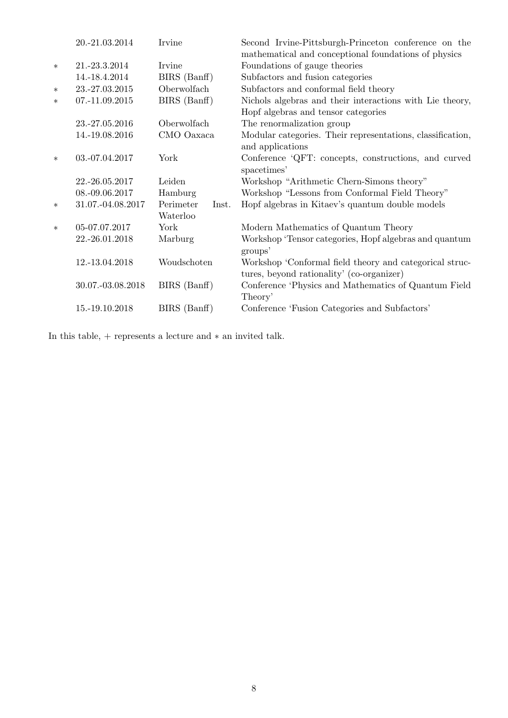|        | 20.-21.03.2014    | Irvine             | Second Irvine-Pittsburgh-Princeton conference on the<br>mathematical and conceptional foundations of physics |
|--------|-------------------|--------------------|--------------------------------------------------------------------------------------------------------------|
| $\ast$ | 21.-23.3.2014     | Irvine             | Foundations of gauge theories                                                                                |
|        | 14.-18.4.2014     | BIRS (Banff)       | Subfactors and fusion categories                                                                             |
| $\ast$ | 23.-27.03.2015    | Oberwolfach        | Subfactors and conformal field theory                                                                        |
| $\ast$ | 07.-11.09.2015    | BIRS (Banff)       | Nichols algebras and their interactions with Lie theory,                                                     |
|        |                   |                    | Hopf algebras and tensor categories                                                                          |
|        | 23.-27.05.2016    | Oberwolfach        | The renormalization group                                                                                    |
|        | 14.-19.08.2016    | CMO Oaxaca         | Modular categories. Their representations, classification,<br>and applications                               |
| $\ast$ | 03.-07.04.2017    | York               | Conference 'QFT: concepts, constructions, and curved<br>spacetimes'                                          |
|        | 22.-26.05.2017    | Leiden             | Workshop "Arithmetic Chern-Simons theory"                                                                    |
|        | 08.-09.06.2017    | Hamburg            | Workshop "Lessons from Conformal Field Theory"                                                               |
| $\ast$ | 31.07.-04.08.2017 | Perimeter<br>Inst. | Hopf algebras in Kitaev's quantum double models                                                              |
|        |                   | Waterloo           |                                                                                                              |
| $\ast$ | 05-07.07.2017     | York               | Modern Mathematics of Quantum Theory                                                                         |
|        | 22.-26.01.2018    | Marburg            | Workshop 'Tensor categories, Hopf algebras and quantum<br>groups'                                            |
|        | 12.-13.04.2018    | Woudschoten        | Workshop 'Conformal field theory and categorical struc-<br>tures, beyond rationality' (co-organizer)         |
|        | 30.07.-03.08.2018 | BIRS (Banff)       | Conference 'Physics and Mathematics of Quantum Field<br>Theory'                                              |
|        | 15.-19.10.2018    | BIRS (Banff)       | Conference 'Fusion Categories and Subfactors'                                                                |

In this table,  $+$  represents a lecture and  $\ast$  an invited talk.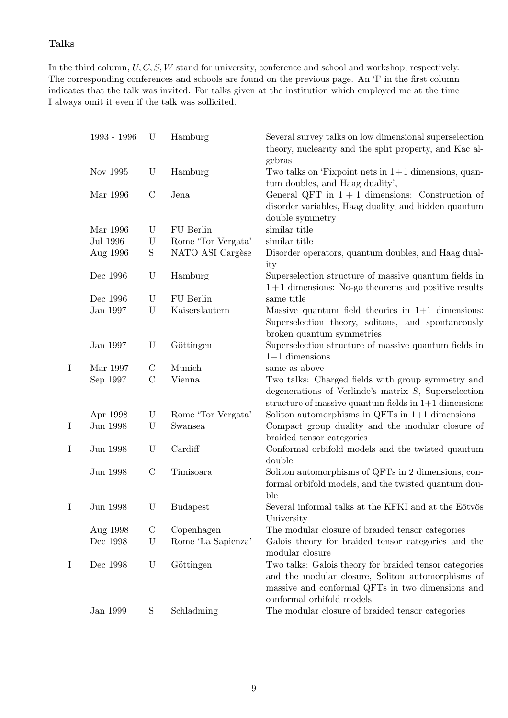#### Talks

In the third column,  $U, C, S, W$  stand for university, conference and school and workshop, respectively. The corresponding conferences and schools are found on the previous page. An 'I' in the first column indicates that the talk was invited. For talks given at the institution which employed me at the time I always omit it even if the talk was sollicited.

|   | 1993 - 1996 | U             | Hamburg            | Several survey talks on low dimensional superselection<br>theory, nuclearity and the split property, and Kac al-                                                                             |
|---|-------------|---------------|--------------------|----------------------------------------------------------------------------------------------------------------------------------------------------------------------------------------------|
|   | Nov 1995    | U             | Hamburg            | gebras<br>Two talks on 'Fixpoint nets in $1+1$ dimensions, quan-<br>tum doubles, and Haag duality',                                                                                          |
|   | Mar 1996    | $\mathcal{C}$ | Jena               | General QFT in $1 + 1$ dimensions: Construction of<br>disorder variables, Haag duality, and hidden quantum<br>double symmetry                                                                |
|   | Mar 1996    | U             | FU Berlin          | similar title                                                                                                                                                                                |
|   | Jul 1996    | $\mathbf U$   | Rome 'Tor Vergata' | similar title                                                                                                                                                                                |
|   | Aug 1996    | $\mathbf S$   | NATO ASI Cargèse   | Disorder operators, quantum doubles, and Haag dual-<br>ity                                                                                                                                   |
|   | Dec 1996    | U             | Hamburg            | Superselection structure of massive quantum fields in<br>$1+1$ dimensions: No-go theorems and positive results                                                                               |
|   | Dec 1996    | U             | FU Berlin          | same title                                                                                                                                                                                   |
|   | Jan 1997    | U             | Kaiserslautern     | Massive quantum field theories in $1+1$ dimensions:<br>Superselection theory, solitons, and spontaneously<br>broken quantum symmetries                                                       |
|   | Jan 1997    | U             | Göttingen          | Superselection structure of massive quantum fields in<br>$1+1$ dimensions                                                                                                                    |
| I | Mar 1997    | $\mathcal{C}$ | Munich             | same as above                                                                                                                                                                                |
|   | Sep 1997    | $\mathcal{C}$ | Vienna             | Two talks: Charged fields with group symmetry and<br>degenerations of Verlinde's matrix $S$ , Superselection<br>structure of massive quantum fields in $1+1$ dimensions                      |
|   | Apr 1998    | U             | Rome 'Tor Vergata' | Soliton automorphisms in QFTs in $1+1$ dimensions                                                                                                                                            |
| I | Jun 1998    | U             | Swansea            | Compact group duality and the modular closure of<br>braided tensor categories                                                                                                                |
| I | Jun 1998    | U             | Cardiff            | Conformal orbifold models and the twisted quantum<br>double                                                                                                                                  |
|   | Jun 1998    | $\mathcal{C}$ | Timisoara          | Soliton automorphisms of QFTs in 2 dimensions, con-<br>formal orbifold models, and the twisted quantum dou-<br>ble                                                                           |
| I | Jun 1998    | $\mathbf U$   | <b>Budapest</b>    | Several informal talks at the KFKI and at the Eötvös<br>University                                                                                                                           |
|   | Aug 1998    | $\mathcal{C}$ | Copenhagen         | The modular closure of braided tensor categories                                                                                                                                             |
|   | Dec 1998    | U             | Rome 'La Sapienza' | Galois theory for braided tensor categories and the<br>modular closure                                                                                                                       |
| I | Dec 1998    | U             | Göttingen          | Two talks: Galois theory for braided tensor categories<br>and the modular closure, Soliton automorphisms of<br>massive and conformal QFTs in two dimensions and<br>conformal orbifold models |
|   | Jan 1999    | S             | Schladming         | The modular closure of braided tensor categories                                                                                                                                             |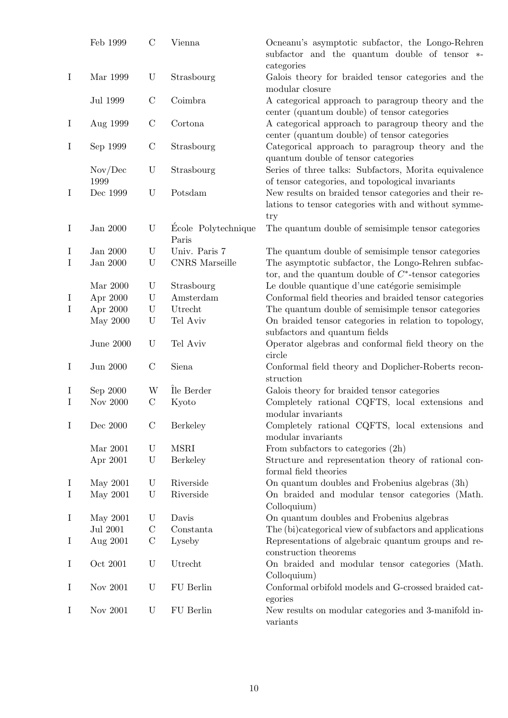|          | Feb 1999         | $\mathcal{C}$ | Vienna                       | Ocneanu's asymptotic subfactor, the Longo-Rehren<br>subfactor and the quantum double of tensor *-<br>categories       |
|----------|------------------|---------------|------------------------------|-----------------------------------------------------------------------------------------------------------------------|
| $\bf{I}$ | Mar 1999         | $\mathbf U$   | Strasbourg                   | Galois theory for braided tensor categories and the<br>modular closure                                                |
|          | Jul 1999         | $\mathcal{C}$ | Coimbra                      | A categorical approach to paragroup theory and the<br>center (quantum double) of tensor categories                    |
| $\bf{I}$ | Aug 1999         | $\mathcal{C}$ | Cortona                      | A categorical approach to paragroup theory and the<br>center (quantum double) of tensor categories                    |
| $\bf{I}$ | Sep 1999         | $\mathcal{C}$ | Strasbourg                   | Categorical approach to paragroup theory and the<br>quantum double of tensor categories                               |
|          | Nov/Dec<br>1999  | U             | Strasbourg                   | Series of three talks: Subfactors, Morita equivalence<br>of tensor categories, and topological invariants             |
| $\bf{I}$ | Dec 1999         | U             | Potsdam                      | New results on braided tensor categories and their re-<br>lations to tensor categories with and without symme-<br>try |
| $\bf{I}$ | Jan 2000         | U             | Ecole Polytechnique<br>Paris | The quantum double of semisimple tensor categories                                                                    |
| I        | Jan 2000         | $\mathbf U$   | Univ. Paris 7                | The quantum double of semisimple tensor categories                                                                    |
| $\bf{I}$ | Jan 2000         | $\mathbf U$   | <b>CNRS</b> Marseille        | The asymptotic subfactor, the Longo-Rehren subfac-<br>tor, and the quantum double of $C^*$ -tensor categories         |
|          | Mar 2000         | U             | Strasbourg                   | Le double quantique d'une catégorie semisimple                                                                        |
| $\bf{I}$ | Apr 2000         | $\mathbf U$   | Amsterdam                    | Conformal field theories and braided tensor categories                                                                |
| $\bf{I}$ | Apr 2000         | $\mathbf U$   | Utrecht                      | The quantum double of semisimple tensor categories                                                                    |
|          | May 2000         | $\mathbf U$   | Tel Aviv                     | On braided tensor categories in relation to topology,<br>subfactors and quantum fields                                |
|          | <b>June 2000</b> | $\mathbf U$   | Tel Aviv                     | Operator algebras and conformal field theory on the<br>circle                                                         |
| $\bf{I}$ | Jun 2000         | $\mathcal{C}$ | Siena                        | Conformal field theory and Doplicher-Roberts recon-<br>struction                                                      |
| $\bf{l}$ | Sep 2000         | W             | Île Berder                   | Galois theory for braided tensor categories                                                                           |
| Ι        | Nov 2000         | $\mathcal{C}$ | Kyoto                        | Completely rational CQFTS, local extensions and<br>modular invariants                                                 |
| $\bf{I}$ | Dec 2000         | $\mathcal{C}$ | Berkeley                     | Completely rational CQFTS, local extensions and<br>modular invariants                                                 |
|          | Mar 2001         | U             | <b>MSRI</b>                  | From subfactors to categories $(2h)$                                                                                  |
|          | Apr 2001         | $\mathbf U$   | Berkeley                     | Structure and representation theory of rational con-<br>formal field theories                                         |
| $\bf{I}$ | May 2001         | U             | Riverside                    | On quantum doubles and Frobenius algebras (3h)                                                                        |
| $\bf{I}$ | May 2001         | $\mathbf U$   | Riverside                    | On braided and modular tensor categories (Math.<br>Colloquium)                                                        |
| $\bf{I}$ | May 2001         | U             | Davis                        | On quantum doubles and Frobenius algebras                                                                             |
|          | Jul 2001         | $\mathcal{C}$ | Constanta                    | The (bi)categorical view of subfactors and applications                                                               |
| $\bf{I}$ | Aug 2001         | $\mathbf C$   | Lyseby                       | Representations of algebraic quantum groups and re-<br>construction theorems                                          |
| $\bf{I}$ | Oct 2001         | $\mathbf U$   | Utrecht                      | On braided and modular tensor categories (Math.<br>Colloquium)                                                        |
| $\bf{I}$ | Nov 2001         | U             | FU Berlin                    | Conformal orbifold models and G-crossed braided cat-<br>egories                                                       |
| $\bf{I}$ | Nov 2001         | $\mathbf U$   | FU Berlin                    | New results on modular categories and 3-manifold in-<br>variants                                                      |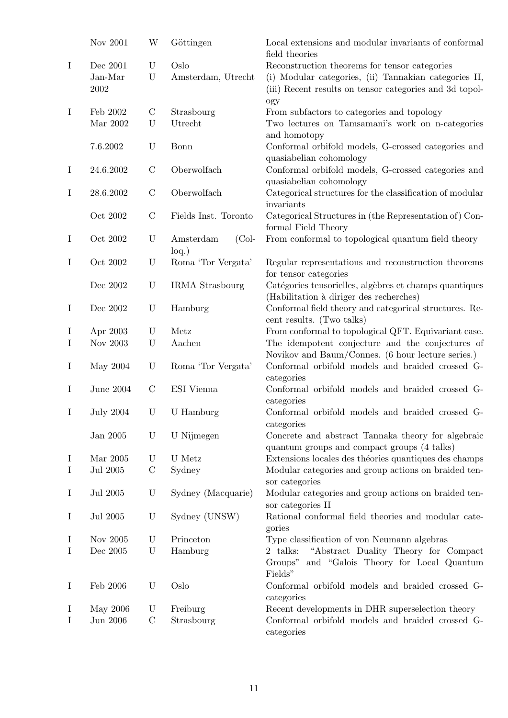|             | Nov 2001         | W                         | Göttingen              | Local extensions and modular invariants of conformal<br>field theories |
|-------------|------------------|---------------------------|------------------------|------------------------------------------------------------------------|
| $\mathbf I$ | Dec 2001         | U                         | Oslo                   | Reconstruction theorems for tensor categories                          |
|             | Jan-Mar          | $\mathbf U$               | Amsterdam, Utrecht     | (i) Modular categories, (ii) Tannakian categories II,                  |
|             |                  |                           |                        |                                                                        |
|             | $\,2002\,$       |                           |                        | (iii) Recent results on tensor categories and 3d topol-                |
|             |                  |                           |                        | ogy                                                                    |
| $\bf{I}$    | Feb 2002         | $\mathcal{C}$             | Strasbourg             | From subfactors to categories and topology                             |
|             | Mar $2002$       | U                         | Utrecht                | Two lectures on Tamsamani's work on n-categories                       |
|             |                  |                           |                        |                                                                        |
|             |                  |                           |                        | and homotopy                                                           |
|             | 7.6.2002         | U                         | Bonn                   | Conformal orbifold models, G-crossed categories and                    |
|             |                  |                           |                        | quasiabelian cohomology                                                |
| $\bf{I}$    | 24.6.2002        | $\mathbf C$               | Oberwolfach            | Conformal orbifold models, G-crossed categories and                    |
|             |                  |                           |                        | quasiabelian cohomology                                                |
|             |                  |                           |                        |                                                                        |
| $\bf{I}$    | 28.6.2002        | $\mathbf C$               | Oberwolfach            | Categorical structures for the classification of modular               |
|             |                  |                           |                        | invariants                                                             |
|             | Oct 2002         | $\mathbf C$               | Fields Inst. Toronto   | Categorical Structures in (the Representation of) Con-                 |
|             |                  |                           |                        | formal Field Theory                                                    |
|             |                  |                           |                        |                                                                        |
| $\bf{I}$    | Oct 2002         | U                         | Amsterdam<br>$(Col-$   | From conformal to topological quantum field theory                     |
|             |                  |                           | $log.$ )               |                                                                        |
| $\bf{I}$    | Oct 2002         | $\ensuremath{\mathrm{U}}$ | Roma 'Tor Vergata'     | Regular representations and reconstruction theorems                    |
|             |                  |                           |                        | for tensor categories                                                  |
|             | Dec 2002         | U                         | <b>IRMA</b> Strasbourg |                                                                        |
|             |                  |                           |                        | Catégories tensorielles, algèbres et champs quantiques                 |
|             |                  |                           |                        | (Habilitation à diriger des recherches)                                |
| $\bf{I}$    | Dec 2002         | $\mathbf U$               | Hamburg                | Conformal field theory and categorical structures. Re-                 |
|             |                  |                           |                        | cent results. (Two talks)                                              |
| $\bf{I}$    | Apr 2003         | U                         | Metz                   | From conformal to topological QFT. Equivariant case.                   |
|             |                  |                           |                        |                                                                        |
| $\bf{I}$    | Nov 2003         | $\mathbf U$               | Aachen                 | The idempotent conjecture and the conjectures of                       |
|             |                  |                           |                        | Novikov and Baum/Connes. (6 hour lecture series.)                      |
| $\bf{I}$    | May 2004         | $\mathbf U$               | Roma 'Tor Vergata'     | Conformal orbifold models and braided crossed G-                       |
|             |                  |                           |                        | categories                                                             |
| $\bf{I}$    | <b>June 2004</b> | $\mathcal{C}$             | ESI Vienna             | Conformal orbifold models and braided crossed G-                       |
|             |                  |                           |                        |                                                                        |
|             |                  |                           |                        | categories                                                             |
| $\bf{I}$    | <b>July 2004</b> | U                         | U Hamburg              | Conformal orbifold models and braided crossed G-                       |
|             |                  |                           |                        | categories                                                             |
|             | Jan 2005         | U                         | U Nijmegen             | Concrete and abstract Tannaka theory for algebraic                     |
|             |                  |                           |                        |                                                                        |
|             |                  |                           |                        | quantum groups and compact groups (4 talks)                            |
| I           | Mar 2005         | $\mathbf U$               | U Metz                 | Extensions locales des théories quantiques des champs                  |
| $\bf{I}$    | Jul 2005         | $\mathcal{C}$             | Sydney                 | Modular categories and group actions on braided ten-                   |
|             |                  |                           |                        | sor categories                                                         |
| $\bf{I}$    | Jul 2005         | $\mathbf U$               | Sydney (Macquarie)     | Modular categories and group actions on braided ten-                   |
|             |                  |                           |                        |                                                                        |
|             |                  |                           |                        | sor categories II                                                      |
| $\bf{I}$    | Jul 2005         | U                         | Sydney (UNSW)          | Rational conformal field theories and modular cate-                    |
|             |                  |                           |                        | gories                                                                 |
| $\bf{I}$    | Nov 2005         | U                         | Princeton              | Type classification of von Neumann algebras                            |
|             |                  |                           |                        |                                                                        |
| $\bf{I}$    | Dec $2005$       | U                         | Hamburg                | "Abstract Duality Theory for Compact"<br>2 talks:                      |
|             |                  |                           |                        | Groups" and "Galois Theory for Local Quantum                           |
|             |                  |                           |                        | Fields"                                                                |
| $\bf{I}$    | Feb 2006         | $\mathbf U$               | Oslo                   | Conformal orbifold models and braided crossed G-                       |
|             |                  |                           |                        |                                                                        |
|             |                  |                           |                        | categories                                                             |
| $\bf{l}$    | May 2006         | U                         | Freiburg               | Recent developments in DHR superselection theory                       |
| $\bf{I}$    | Jun 2006         | $\mathcal{C}$             | Strasbourg             | Conformal orbifold models and braided crossed G-                       |
|             |                  |                           |                        | categories                                                             |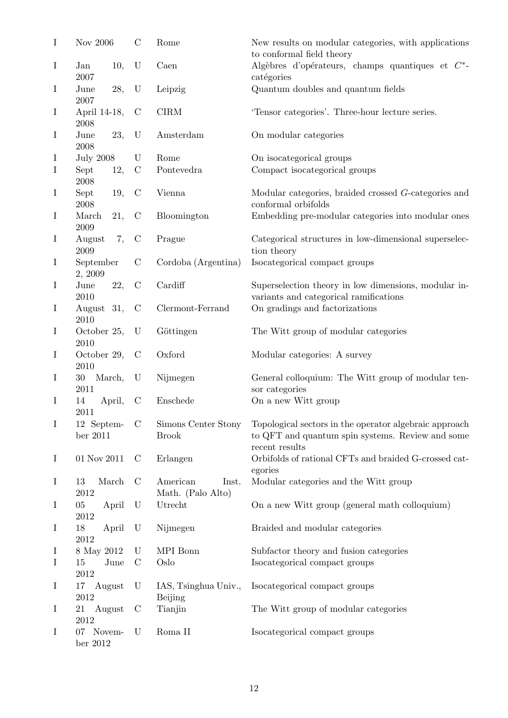| $\mathbf I$ | Nov 2006                 |        | $\mathcal{C}$ | Rome                                   | New results on modular categories, with applications<br>to conformal field theory                                            |
|-------------|--------------------------|--------|---------------|----------------------------------------|------------------------------------------------------------------------------------------------------------------------------|
| $\bf{I}$    | Jan<br>2007              | 10,    | $\mathbf U$   | Caen                                   | Algèbres d'opérateurs, champs quantiques et $C^*$ -<br>catégories                                                            |
| $\bf{I}$    | June<br>2007             | 28,    | $\mathbf U$   | Leipzig                                | Quantum doubles and quantum fields                                                                                           |
| $\bf I$     | April 14-18,<br>2008     |        | $\mathcal{C}$ | CIRM                                   | 'Tensor categories'. Three-hour lecture series.                                                                              |
| $\bf{I}$    | June<br>$\,2008\,$       | 23,    | $\mathbf U$   | Amsterdam                              | On modular categories                                                                                                        |
| I           | <b>July 2008</b>         |        | U             | Rome                                   | On isocategorical groups                                                                                                     |
| I           | Sept<br>2008             | 12,    | $\mathcal{C}$ | Pontevedra                             | Compact isocategorical groups                                                                                                |
| I           | Sept<br>$\,2008\,$       | 19,    | $\mathcal{C}$ | Vienna                                 | Modular categories, braided crossed $G$ -categories and<br>conformal orbifolds                                               |
| $\bf{I}$    | March<br>2009            | 21,    | $\mathcal{C}$ | Bloomington                            | Embedding pre-modular categories into modular ones                                                                           |
| I           | August<br>$\,2009\,$     | 7,     | $\mathcal{C}$ | Prague                                 | Categorical structures in low-dimensional superselec-<br>tion theory                                                         |
| $\bf{I}$    | September<br>2, 2009     |        | $\mathcal{C}$ | Cordoba (Argentina)                    | Isocategorical compact groups                                                                                                |
| I           | June<br>2010             | 22,    | $\mathcal{C}$ | Cardiff                                | Superselection theory in low dimensions, modular in-<br>variants and categorical ramifications                               |
| $\bf{I}$    | August<br>2010           | 31,    | $\mathcal{C}$ | Clermont-Ferrand                       | On gradings and factorizations                                                                                               |
| $\bf{I}$    | October 25,<br>2010      |        | $\mathbf U$   | Göttingen                              | The Witt group of modular categories                                                                                         |
| $\bf{I}$    | October 29,<br>2010      |        | $\mathcal{C}$ | Oxford                                 | Modular categories: A survey                                                                                                 |
| $\bf I$     | 30<br>March,<br>2011     |        | $\mathbf U$   | Nijmegen                               | General colloquium: The Witt group of modular ten-<br>sor categories                                                         |
| $\bf{I}$    | 14<br>2011               | April, | $\mathcal{C}$ | Enschede                               | On a new Witt group                                                                                                          |
| $\mathbf I$ | 12 Septem-<br>ber $2011$ |        | $\mathcal{C}$ | Simons Center Stony<br><b>Brook</b>    | Topological sectors in the operator algebraic approach<br>to QFT and quantum spin systems. Review and some<br>recent results |
| I           | 01 Nov 2011              |        | $\mathcal{C}$ | Erlangen                               | Orbifolds of rational CFTs and braided G-crossed cat-<br>egories                                                             |
| I           | 13<br>2012               | March  | $\mathcal{C}$ | American<br>Inst.<br>Math. (Palo Alto) | Modular categories and the Witt group                                                                                        |
| Ι           | 05<br>2012               | April  | U             | Utrecht                                | On a new Witt group (general math colloquium)                                                                                |
| $\bf{I}$    | 18<br>2012               | April  | U             | Nijmegen                               | Braided and modular categories                                                                                               |
| Ι           | 8 May 2012               |        | U             | MPI Bonn                               | Subfactor theory and fusion categories                                                                                       |
| I           | 15<br>2012               | June   | $\mathcal{C}$ | Oslo                                   | Isocategorical compact groups                                                                                                |
| $\bf{I}$    | August<br>17<br>2012     |        | U             | IAS, Tsinghua Univ.,<br><b>Beijing</b> | Isocategorical compact groups                                                                                                |
| $\bf{I}$    | 21<br>August<br>2012     |        | $\mathcal{C}$ | Tianjin                                | The Witt group of modular categories                                                                                         |
| $\bf{I}$    | 07 Novem-<br>ber $2012$  |        | U             | Roma II                                | Isocategorical compact groups                                                                                                |